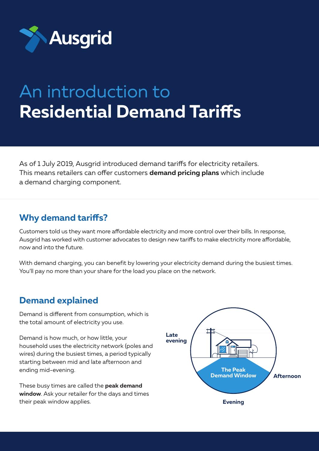

# An introduction to **Residential Demand Tariffs**

As of 1 July 2019, Ausgrid introduced demand tariffs for electricity retailers. This means retailers can offer customers **demand pricing plans** which include a demand charging component.

## **Why demand tariffs?**

Customers told us they want more affordable electricity and more control over their bills. In response, Ausgrid has worked with customer advocates to design new tariffs to make electricity more affordable, now and into the future.

With demand charging, you can benefit by lowering your electricity demand during the busiest times. You'll pay no more than your share for the load you place on the network.

## **Demand explained**

Demand is different from consumption, which is the total amount of electricity you use.

Demand is how much, or how little, your household uses the electricity network (poles and wires) during the busiest times, a period typically starting between mid and late afternoon and ending mid-evening.

These busy times are called the **peak demand window**. Ask your retailer for the days and times their peak window applies.